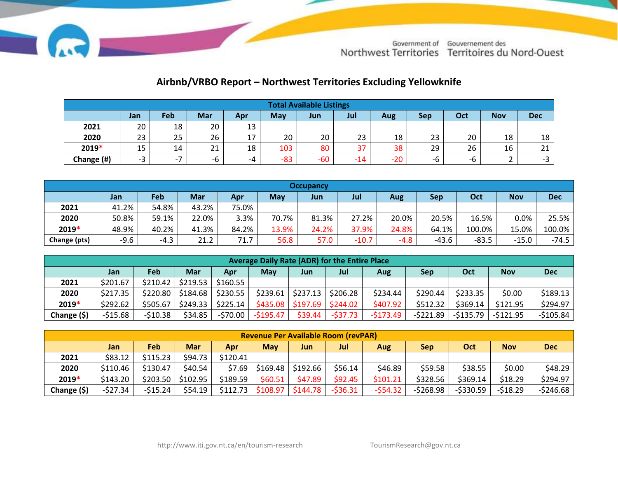

## **Airbnb/VRBO Report – Northwest Territories Excluding Yellowknife**

| <b>Total Available Listings</b> |      |      |     |     |       |       |       |       |     |     |                          |            |
|---------------------------------|------|------|-----|-----|-------|-------|-------|-------|-----|-----|--------------------------|------------|
|                                 | Jan  | Feb  | Mar | Apr | May   | Jun   | Jul   | Aug   | Sep | Oct | <b>Nov</b>               | <b>Dec</b> |
| 2021                            | 20   | 18   | 20  | 13  |       |       |       |       |     |     |                          |            |
| 2020                            | 23   | 25   | 26  | 17  | 20    | 20    | 23    | 18    | 23  | 20  | 18                       | 18         |
| 2019*                           | 15   | 14   | 21  | 18  | 103   | 80    | 37    | 38    | 29  | 26  | 16                       | 21         |
| Change (#)                      | $-3$ | $-1$ | -h  | -4  | $-83$ | $-60$ | $-14$ | $-20$ | -b  | -b  | $\overline{\phantom{a}}$ | $-3$       |

|              | <b>Occupancy</b> |        |            |       |            |       |         |        |         |         |            |            |
|--------------|------------------|--------|------------|-------|------------|-------|---------|--------|---------|---------|------------|------------|
|              | Jan              | Feb    | <b>Mar</b> | Apr   | <b>May</b> | Jun   | Jul     | Aug    | Sep     | Oct     | <b>Nov</b> | <b>Dec</b> |
| 2021         | 41.2%            | 54.8%  | 43.2%      | 75.0% |            |       |         |        |         |         |            |            |
| 2020         | 50.8%            | 59.1%  | 22.0%      | 3.3%  | 70.7%      | 81.3% | 27.2%   | 20.0%  | 20.5%   | 16.5%   | $0.0\%$    | 25.5%      |
| 2019*        | 48.9%            | 40.2%  | 41.3%      | 84.2% | 13.9%      | 24.2% | 37.9%   | 24.8%  | 64.1%   | 100.0%  | 15.0%      | 100.0%     |
| Change (pts) | $-9.6$           | $-4.3$ | 21.2       | 71.7  | 56.8       | 57.0  | $-10.7$ | $-4.8$ | $-43.6$ | $-83.5$ | $-15.0$    | $-74.5$    |

|             | Average Daily Rate (ADR) for the Entire Place |          |            |          |           |                               |           |            |            |           |            |            |
|-------------|-----------------------------------------------|----------|------------|----------|-----------|-------------------------------|-----------|------------|------------|-----------|------------|------------|
|             | Jan                                           | Feb      | <b>Mar</b> | Apr      | May       | Jun                           | Jul       | Aug        | <b>Sep</b> | Oct       | <b>Nov</b> | <b>Dec</b> |
| 2021        | \$201.67                                      | \$210.42 | \$219.53   | \$160.55 |           |                               |           |            |            |           |            |            |
| 2020        | \$217.35                                      | \$220.80 | \$184.68   | \$230.55 | \$239.61  | $ $ \$237.13 $ $ \$206.28     |           | \$234.44   | \$290.44   | \$233.35  | \$0.00     | \$189.13   |
| 2019*       | \$292.62                                      | \$505.67 | \$249.33   | \$225.14 |           | $$435.08$ $$197.69$ $$244.02$ |           | \$407.92   | \$512.32   | \$369.14  | \$121.95   | \$294.97   |
| Change (\$) | $-515.68$                                     | -\$10.38 | \$34.85    | -\$70.00 | -\$195.47 | \$39.44                       | $-537.73$ | $-5173.49$ | -\$221.89  | -\$135.79 | $-5121.95$ | $-5105.84$ |

| <b>Revenue Per Available Room (revPAR)</b> |           |            |            |          |            |          |           |           |            |            |            |            |
|--------------------------------------------|-----------|------------|------------|----------|------------|----------|-----------|-----------|------------|------------|------------|------------|
|                                            | Jan       | <b>Feb</b> | <b>Mar</b> | Apr      | <b>May</b> | Jun      | Jul       | Aug       | <b>Sep</b> | Oct        | <b>Nov</b> | <b>Dec</b> |
| 2021                                       | \$83.12   | \$115.23   | \$94.73    | \$120.41 |            |          |           |           |            |            |            |            |
| 2020                                       | \$110.46  | \$130.47   | \$40.54    | \$7.69   | \$169.48   | \$192.66 | \$56.14   | \$46.89   | \$59.58    | \$38.55    | \$0.00     | \$48.29    |
| 2019*                                      | \$143.20  | \$203.50   | \$102.95   | \$189.59 | \$60.51    | \$47.89  | \$92.45   | \$101.21  | \$328.56   | \$369.14   | \$18.29    | \$294.97   |
| Change (\$)                                | $-527.34$ | -\$15.24   | \$54.19    | \$112.73 | \$108.97   | \$144.78 | $-536.31$ | $-554.32$ | $-5268.98$ | $-5330.59$ | -\$18.29   | $-5246.68$ |